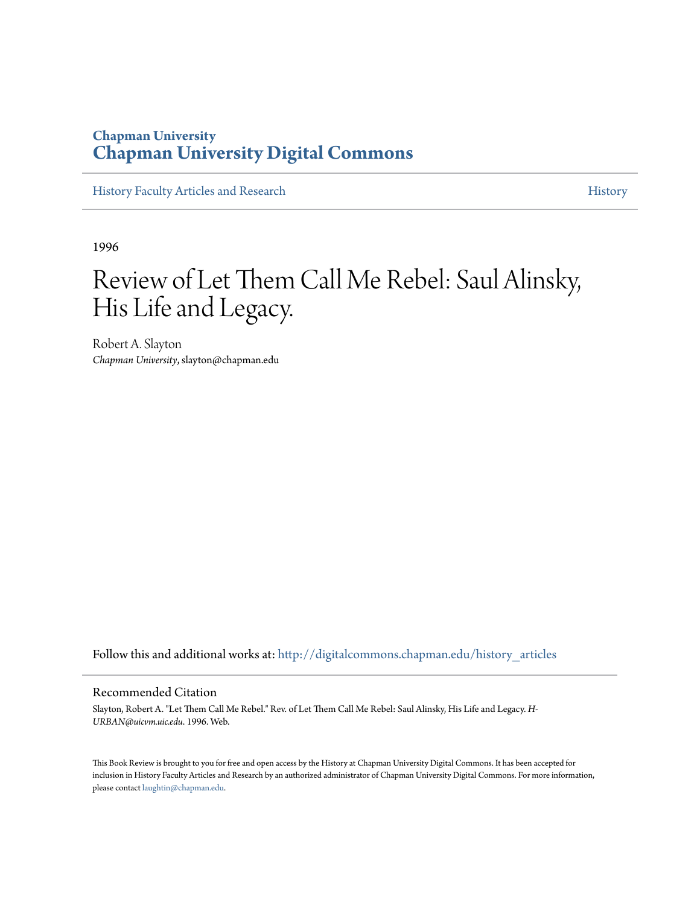### **Chapman University [Chapman University Digital Commons](http://digitalcommons.chapman.edu?utm_source=digitalcommons.chapman.edu%2Fhistory_articles%2F6&utm_medium=PDF&utm_campaign=PDFCoverPages)**

[History Faculty Articles and Research](http://digitalcommons.chapman.edu/history_articles?utm_source=digitalcommons.chapman.edu%2Fhistory_articles%2F6&utm_medium=PDF&utm_campaign=PDFCoverPages) [History](http://digitalcommons.chapman.edu/history?utm_source=digitalcommons.chapman.edu%2Fhistory_articles%2F6&utm_medium=PDF&utm_campaign=PDFCoverPages) History

1996

# Review of Let Them Call Me Rebel: Saul Alinsky, His Life and Legacy.

Robert A. Slayton *Chapman University*, slayton@chapman.edu

Follow this and additional works at: [http://digitalcommons.chapman.edu/history\\_articles](http://digitalcommons.chapman.edu/history_articles?utm_source=digitalcommons.chapman.edu%2Fhistory_articles%2F6&utm_medium=PDF&utm_campaign=PDFCoverPages)

#### Recommended Citation

Slayton, Robert A. "Let Them Call Me Rebel." Rev. of Let Them Call Me Rebel: Saul Alinsky, His Life and Legacy. *H-URBAN@uicvm.uic.edu*. 1996. Web.

This Book Review is brought to you for free and open access by the History at Chapman University Digital Commons. It has been accepted for inclusion in History Faculty Articles and Research by an authorized administrator of Chapman University Digital Commons. For more information, please contact [laughtin@chapman.edu.](mailto:laughtin@chapman.edu)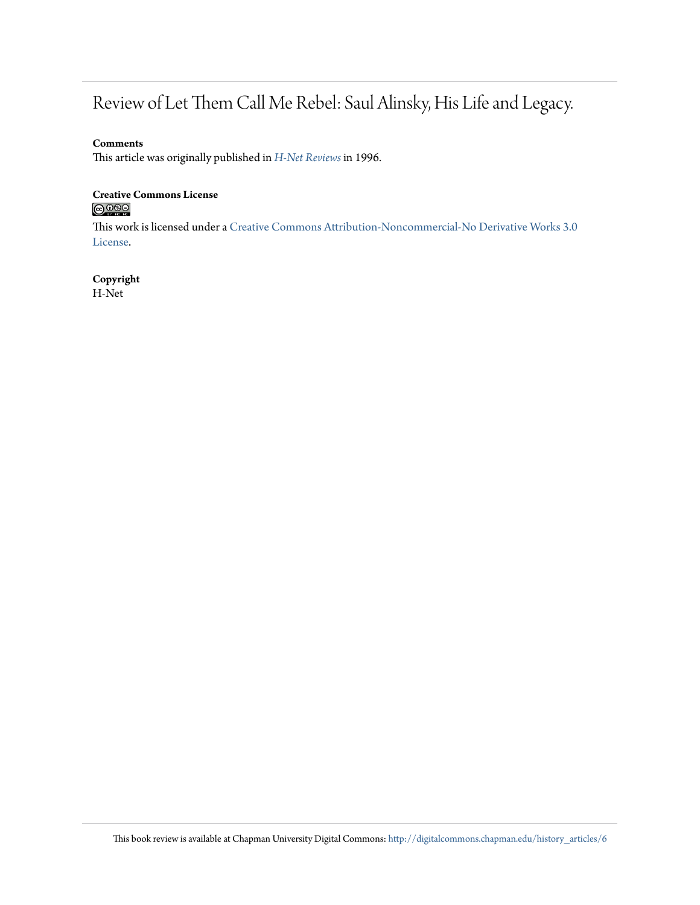## Review of Let Them Call Me Rebel: Saul Alinsky, His Life and Legacy.

#### **Comments**

This article was originally published in *[H-Net Reviews](http://www.h-net.org/reviews/home.php)* in 1996.

## **Creative Commons License**

This work is licensed under a [Creative Commons Attribution-Noncommercial-No Derivative Works 3.0](http://creativecommons.org/licenses/by-nc-nd/3.0/) [License.](http://creativecommons.org/licenses/by-nc-nd/3.0/)

### **Copyright**

H-Net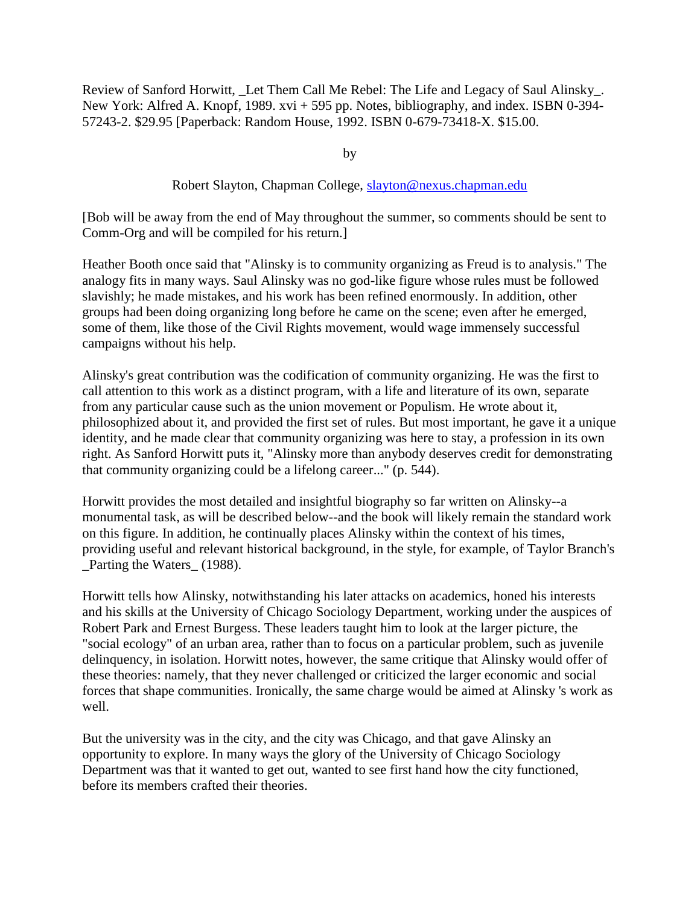Review of Sanford Horwitt, Let Them Call Me Rebel: The Life and Legacy of Saul Alinsky. New York: Alfred A. Knopf, 1989. xvi + 595 pp. Notes, bibliography, and index. ISBN 0-394- 57243-2. \$29.95 [Paperback: Random House, 1992. ISBN 0-679-73418-X. \$15.00.

by

#### Robert Slayton, Chapman College, [slayton@nexus.chapman.edu](mailto:slayton@nexus.chapman.edu)

[Bob will be away from the end of May throughout the summer, so comments should be sent to Comm-Org and will be compiled for his return.]

Heather Booth once said that "Alinsky is to community organizing as Freud is to analysis." The analogy fits in many ways. Saul Alinsky was no god-like figure whose rules must be followed slavishly; he made mistakes, and his work has been refined enormously. In addition, other groups had been doing organizing long before he came on the scene; even after he emerged, some of them, like those of the Civil Rights movement, would wage immensely successful campaigns without his help.

Alinsky's great contribution was the codification of community organizing. He was the first to call attention to this work as a distinct program, with a life and literature of its own, separate from any particular cause such as the union movement or Populism. He wrote about it, philosophized about it, and provided the first set of rules. But most important, he gave it a unique identity, and he made clear that community organizing was here to stay, a profession in its own right. As Sanford Horwitt puts it, "Alinsky more than anybody deserves credit for demonstrating that community organizing could be a lifelong career..." (p. 544).

Horwitt provides the most detailed and insightful biography so far written on Alinsky--a monumental task, as will be described below--and the book will likely remain the standard work on this figure. In addition, he continually places Alinsky within the context of his times, providing useful and relevant historical background, in the style, for example, of Taylor Branch's \_Parting the Waters\_ (1988).

Horwitt tells how Alinsky, notwithstanding his later attacks on academics, honed his interests and his skills at the University of Chicago Sociology Department, working under the auspices of Robert Park and Ernest Burgess. These leaders taught him to look at the larger picture, the "social ecology" of an urban area, rather than to focus on a particular problem, such as juvenile delinquency, in isolation. Horwitt notes, however, the same critique that Alinsky would offer of these theories: namely, that they never challenged or criticized the larger economic and social forces that shape communities. Ironically, the same charge would be aimed at Alinsky 's work as well.

But the university was in the city, and the city was Chicago, and that gave Alinsky an opportunity to explore. In many ways the glory of the University of Chicago Sociology Department was that it wanted to get out, wanted to see first hand how the city functioned, before its members crafted their theories.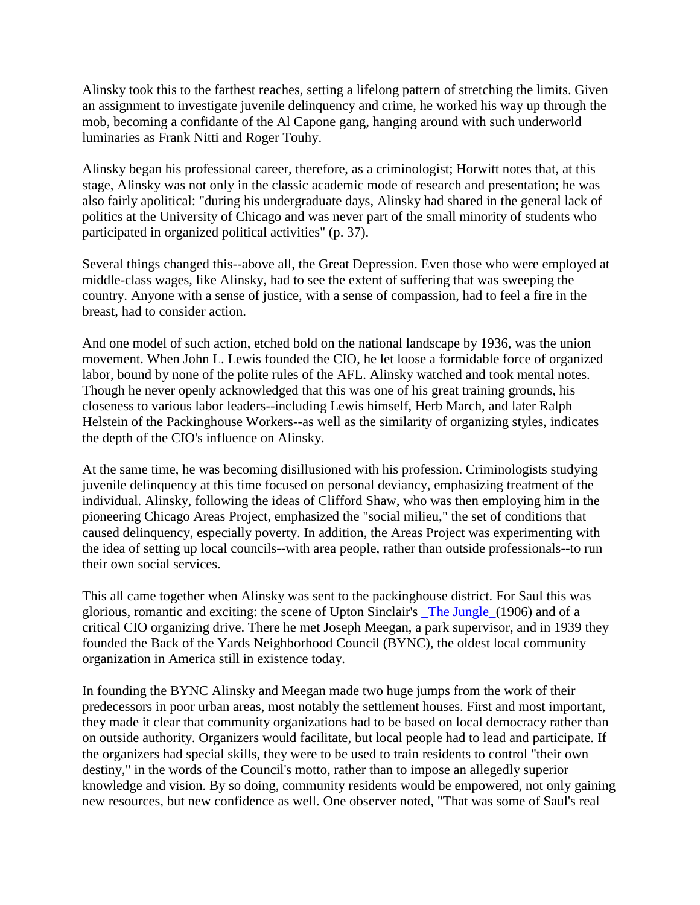Alinsky took this to the farthest reaches, setting a lifelong pattern of stretching the limits. Given an assignment to investigate juvenile delinquency and crime, he worked his way up through the mob, becoming a confidante of the Al Capone gang, hanging around with such underworld luminaries as Frank Nitti and Roger Touhy.

Alinsky began his professional career, therefore, as a criminologist; Horwitt notes that, at this stage, Alinsky was not only in the classic academic mode of research and presentation; he was also fairly apolitical: "during his undergraduate days, Alinsky had shared in the general lack of politics at the University of Chicago and was never part of the small minority of students who participated in organized political activities" (p. 37).

Several things changed this--above all, the Great Depression. Even those who were employed at middle-class wages, like Alinsky, had to see the extent of suffering that was sweeping the country. Anyone with a sense of justice, with a sense of compassion, had to feel a fire in the breast, had to consider action.

And one model of such action, etched bold on the national landscape by 1936, was the union movement. When John L. Lewis founded the CIO, he let loose a formidable force of organized labor, bound by none of the polite rules of the AFL. Alinsky watched and took mental notes. Though he never openly acknowledged that this was one of his great training grounds, his closeness to various labor leaders--including Lewis himself, Herb March, and later Ralph Helstein of the Packinghouse Workers--as well as the similarity of organizing styles, indicates the depth of the CIO's influence on Alinsky.

At the same time, he was becoming disillusioned with his profession. Criminologists studying juvenile delinquency at this time focused on personal deviancy, emphasizing treatment of the individual. Alinsky, following the ideas of Clifford Shaw, who was then employing him in the pioneering Chicago Areas Project, emphasized the "social milieu," the set of conditions that caused delinquency, especially poverty. In addition, the Areas Project was experimenting with the idea of setting up local councils--with area people, rather than outside professionals--to run their own social services.

This all came together when Alinsky was sent to the packinghouse district. For Saul this was glorious, romantic and exciting: the scene of Upton Sinclair's [\\_The Jungle\\_\(](http://comm-org.wisc.edu/papers96/alinsky/thejungle.html)1906) and of a critical CIO organizing drive. There he met Joseph Meegan, a park supervisor, and in 1939 they founded the Back of the Yards Neighborhood Council (BYNC), the oldest local community organization in America still in existence today.

In founding the BYNC Alinsky and Meegan made two huge jumps from the work of their predecessors in poor urban areas, most notably the settlement houses. First and most important, they made it clear that community organizations had to be based on local democracy rather than on outside authority. Organizers would facilitate, but local people had to lead and participate. If the organizers had special skills, they were to be used to train residents to control "their own destiny," in the words of the Council's motto, rather than to impose an allegedly superior knowledge and vision. By so doing, community residents would be empowered, not only gaining new resources, but new confidence as well. One observer noted, "That was some of Saul's real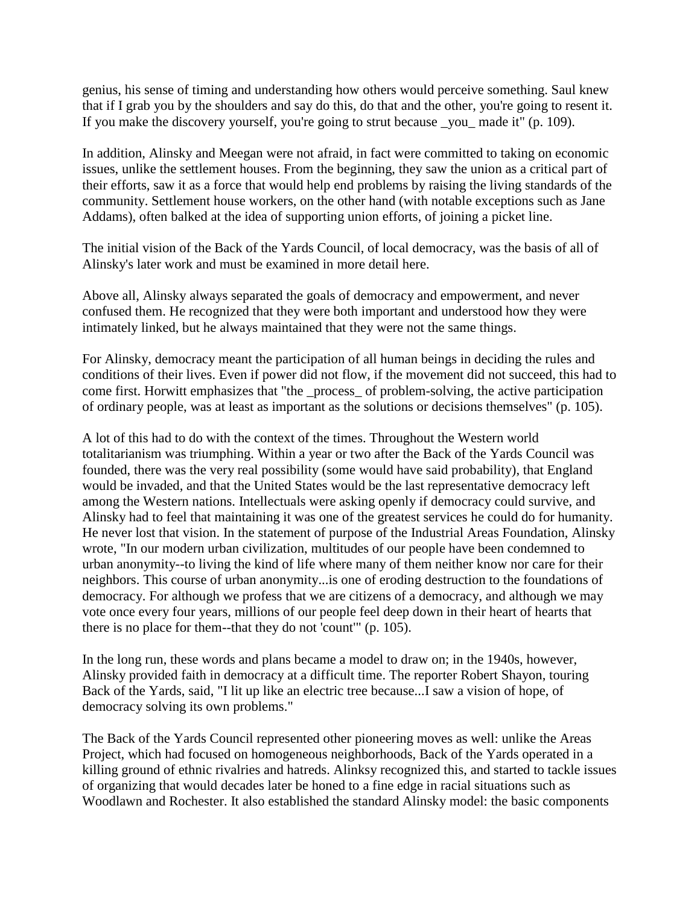genius, his sense of timing and understanding how others would perceive something. Saul knew that if I grab you by the shoulders and say do this, do that and the other, you're going to resent it. If you make the discovery yourself, you're going to strut because \_you\_ made it" (p. 109).

In addition, Alinsky and Meegan were not afraid, in fact were committed to taking on economic issues, unlike the settlement houses. From the beginning, they saw the union as a critical part of their efforts, saw it as a force that would help end problems by raising the living standards of the community. Settlement house workers, on the other hand (with notable exceptions such as Jane Addams), often balked at the idea of supporting union efforts, of joining a picket line.

The initial vision of the Back of the Yards Council, of local democracy, was the basis of all of Alinsky's later work and must be examined in more detail here.

Above all, Alinsky always separated the goals of democracy and empowerment, and never confused them. He recognized that they were both important and understood how they were intimately linked, but he always maintained that they were not the same things.

For Alinsky, democracy meant the participation of all human beings in deciding the rules and conditions of their lives. Even if power did not flow, if the movement did not succeed, this had to come first. Horwitt emphasizes that "the \_process\_ of problem-solving, the active participation of ordinary people, was at least as important as the solutions or decisions themselves" (p. 105).

A lot of this had to do with the context of the times. Throughout the Western world totalitarianism was triumphing. Within a year or two after the Back of the Yards Council was founded, there was the very real possibility (some would have said probability), that England would be invaded, and that the United States would be the last representative democracy left among the Western nations. Intellectuals were asking openly if democracy could survive, and Alinsky had to feel that maintaining it was one of the greatest services he could do for humanity. He never lost that vision. In the statement of purpose of the Industrial Areas Foundation, Alinsky wrote, "In our modern urban civilization, multitudes of our people have been condemned to urban anonymity--to living the kind of life where many of them neither know nor care for their neighbors. This course of urban anonymity...is one of eroding destruction to the foundations of democracy. For although we profess that we are citizens of a democracy, and although we may vote once every four years, millions of our people feel deep down in their heart of hearts that there is no place for them--that they do not 'count'" (p. 105).

In the long run, these words and plans became a model to draw on; in the 1940s, however, Alinsky provided faith in democracy at a difficult time. The reporter Robert Shayon, touring Back of the Yards, said, "I lit up like an electric tree because...I saw a vision of hope, of democracy solving its own problems."

The Back of the Yards Council represented other pioneering moves as well: unlike the Areas Project, which had focused on homogeneous neighborhoods, Back of the Yards operated in a killing ground of ethnic rivalries and hatreds. Alinksy recognized this, and started to tackle issues of organizing that would decades later be honed to a fine edge in racial situations such as Woodlawn and Rochester. It also established the standard Alinsky model: the basic components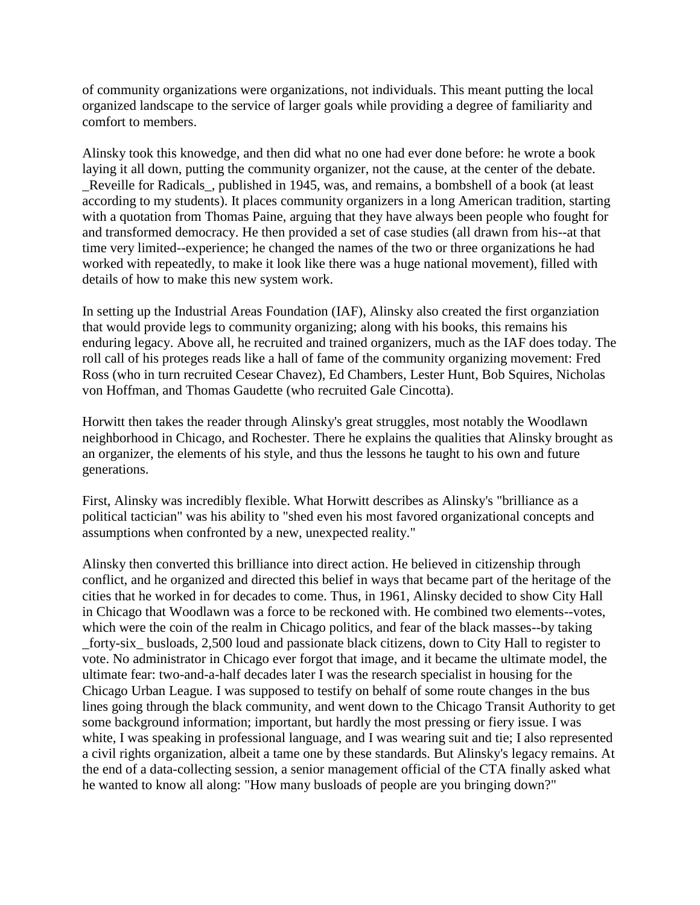of community organizations were organizations, not individuals. This meant putting the local organized landscape to the service of larger goals while providing a degree of familiarity and comfort to members.

Alinsky took this knowedge, and then did what no one had ever done before: he wrote a book laying it all down, putting the community organizer, not the cause, at the center of the debate. \_Reveille for Radicals\_, published in 1945, was, and remains, a bombshell of a book (at least according to my students). It places community organizers in a long American tradition, starting with a quotation from Thomas Paine, arguing that they have always been people who fought for and transformed democracy. He then provided a set of case studies (all drawn from his--at that time very limited--experience; he changed the names of the two or three organizations he had worked with repeatedly, to make it look like there was a huge national movement), filled with details of how to make this new system work.

In setting up the Industrial Areas Foundation (IAF), Alinsky also created the first organziation that would provide legs to community organizing; along with his books, this remains his enduring legacy. Above all, he recruited and trained organizers, much as the IAF does today. The roll call of his proteges reads like a hall of fame of the community organizing movement: Fred Ross (who in turn recruited Cesear Chavez), Ed Chambers, Lester Hunt, Bob Squires, Nicholas von Hoffman, and Thomas Gaudette (who recruited Gale Cincotta).

Horwitt then takes the reader through Alinsky's great struggles, most notably the Woodlawn neighborhood in Chicago, and Rochester. There he explains the qualities that Alinsky brought as an organizer, the elements of his style, and thus the lessons he taught to his own and future generations.

First, Alinsky was incredibly flexible. What Horwitt describes as Alinsky's "brilliance as a political tactician" was his ability to "shed even his most favored organizational concepts and assumptions when confronted by a new, unexpected reality."

Alinsky then converted this brilliance into direct action. He believed in citizenship through conflict, and he organized and directed this belief in ways that became part of the heritage of the cities that he worked in for decades to come. Thus, in 1961, Alinsky decided to show City Hall in Chicago that Woodlawn was a force to be reckoned with. He combined two elements--votes, which were the coin of the realm in Chicago politics, and fear of the black masses--by taking \_forty-six\_ busloads, 2,500 loud and passionate black citizens, down to City Hall to register to vote. No administrator in Chicago ever forgot that image, and it became the ultimate model, the ultimate fear: two-and-a-half decades later I was the research specialist in housing for the Chicago Urban League. I was supposed to testify on behalf of some route changes in the bus lines going through the black community, and went down to the Chicago Transit Authority to get some background information; important, but hardly the most pressing or fiery issue. I was white, I was speaking in professional language, and I was wearing suit and tie; I also represented a civil rights organization, albeit a tame one by these standards. But Alinsky's legacy remains. At the end of a data-collecting session, a senior management official of the CTA finally asked what he wanted to know all along: "How many busloads of people are you bringing down?"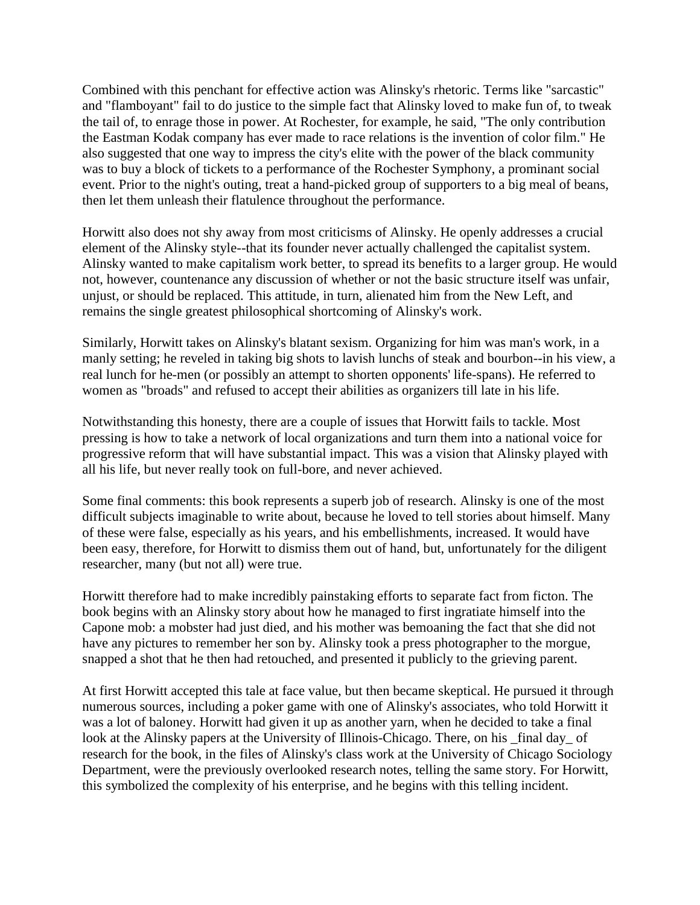Combined with this penchant for effective action was Alinsky's rhetoric. Terms like "sarcastic" and "flamboyant" fail to do justice to the simple fact that Alinsky loved to make fun of, to tweak the tail of, to enrage those in power. At Rochester, for example, he said, "The only contribution the Eastman Kodak company has ever made to race relations is the invention of color film." He also suggested that one way to impress the city's elite with the power of the black community was to buy a block of tickets to a performance of the Rochester Symphony, a prominant social event. Prior to the night's outing, treat a hand-picked group of supporters to a big meal of beans, then let them unleash their flatulence throughout the performance.

Horwitt also does not shy away from most criticisms of Alinsky. He openly addresses a crucial element of the Alinsky style--that its founder never actually challenged the capitalist system. Alinsky wanted to make capitalism work better, to spread its benefits to a larger group. He would not, however, countenance any discussion of whether or not the basic structure itself was unfair, unjust, or should be replaced. This attitude, in turn, alienated him from the New Left, and remains the single greatest philosophical shortcoming of Alinsky's work.

Similarly, Horwitt takes on Alinsky's blatant sexism. Organizing for him was man's work, in a manly setting; he reveled in taking big shots to lavish lunchs of steak and bourbon--in his view, a real lunch for he-men (or possibly an attempt to shorten opponents' life-spans). He referred to women as "broads" and refused to accept their abilities as organizers till late in his life.

Notwithstanding this honesty, there are a couple of issues that Horwitt fails to tackle. Most pressing is how to take a network of local organizations and turn them into a national voice for progressive reform that will have substantial impact. This was a vision that Alinsky played with all his life, but never really took on full-bore, and never achieved.

Some final comments: this book represents a superb job of research. Alinsky is one of the most difficult subjects imaginable to write about, because he loved to tell stories about himself. Many of these were false, especially as his years, and his embellishments, increased. It would have been easy, therefore, for Horwitt to dismiss them out of hand, but, unfortunately for the diligent researcher, many (but not all) were true.

Horwitt therefore had to make incredibly painstaking efforts to separate fact from ficton. The book begins with an Alinsky story about how he managed to first ingratiate himself into the Capone mob: a mobster had just died, and his mother was bemoaning the fact that she did not have any pictures to remember her son by. Alinsky took a press photographer to the morgue, snapped a shot that he then had retouched, and presented it publicly to the grieving parent.

At first Horwitt accepted this tale at face value, but then became skeptical. He pursued it through numerous sources, including a poker game with one of Alinsky's associates, who told Horwitt it was a lot of baloney. Horwitt had given it up as another yarn, when he decided to take a final look at the Alinsky papers at the University of Illinois-Chicago. There, on his \_final day\_ of research for the book, in the files of Alinsky's class work at the University of Chicago Sociology Department, were the previously overlooked research notes, telling the same story. For Horwitt, this symbolized the complexity of his enterprise, and he begins with this telling incident.